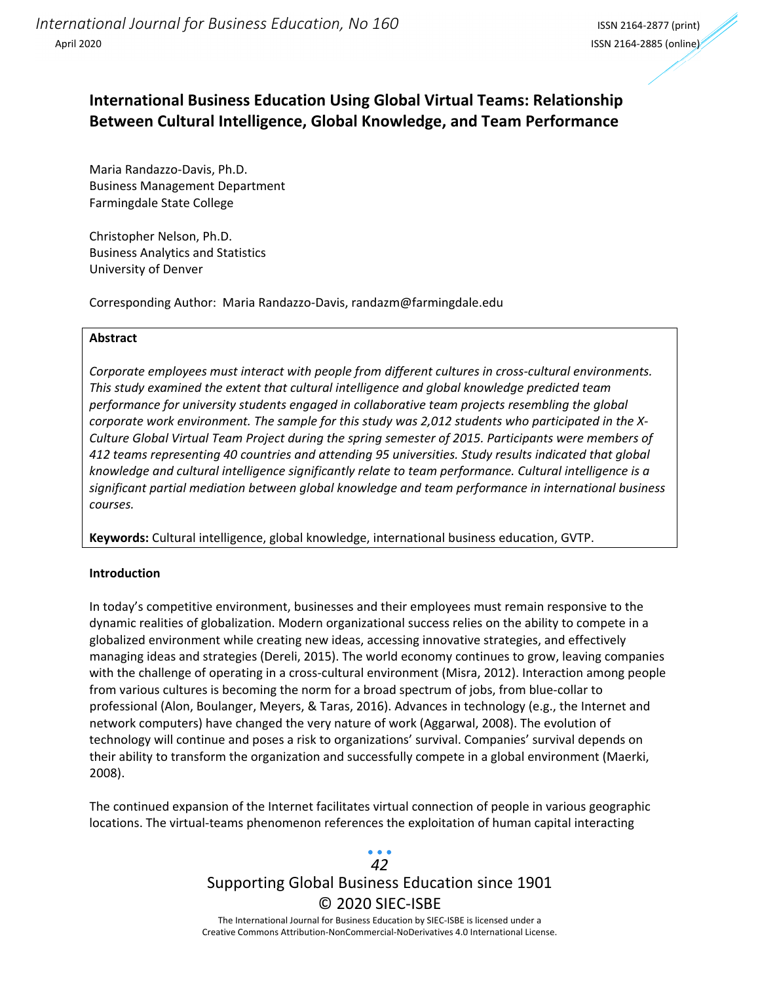## **International Business Education Using Global Virtual Teams: Relationship Between Cultural Intelligence, Global Knowledge, and Team Performance**

Maria Randazzo‐Davis, Ph.D. Business Management Department Farmingdale State College

Christopher Nelson, Ph.D. Business Analytics and Statistics University of Denver

Corresponding Author: Maria Randazzo‐Davis, randazm@farmingdale.edu

#### **Abstract**

*Corporate employees must interact with people from different cultures in cross‐cultural environments. This study examined the extent that cultural intelligence and global knowledge predicted team performance for university students engaged in collaborative team projects resembling the global corporate work environment. The sample for this study was 2,012 students who participated in the X‐ Culture Global Virtual Team Project during the spring semester of 2015. Participants were members of 412 teams representing 40 countries and attending 95 universities. Study results indicated that global knowledge and cultural intelligence significantly relate to team performance. Cultural intelligence is a significant partial mediation between global knowledge and team performance in international business courses.*

**Keywords:** Cultural intelligence, global knowledge, international business education, GVTP.

#### **Introduction**

In today's competitive environment, businesses and their employees must remain responsive to the dynamic realities of globalization. Modern organizational success relies on the ability to compete in a globalized environment while creating new ideas, accessing innovative strategies, and effectively managing ideas and strategies (Dereli, 2015). The world economy continues to grow, leaving companies with the challenge of operating in a cross-cultural environment (Misra, 2012). Interaction among people from various cultures is becoming the norm for a broad spectrum of jobs, from blue-collar to professional (Alon, Boulanger, Meyers, & Taras, 2016). Advances in technology (e.g., the Internet and network computers) have changed the very nature of work (Aggarwal, 2008). The evolution of technology will continue and poses a risk to organizations' survival. Companies' survival depends on their ability to transform the organization and successfully compete in a global environment (Maerki, 2008).

The continued expansion of the Internet facilitates virtual connection of people in various geographic locations. The virtual‐teams phenomenon references the exploitation of human capital interacting

### Supporting Global Business Education since 1901 © 2020 SIEC‐ISBE The International Journal for Business Education by SIEC‐ISBE is licensed under a *42*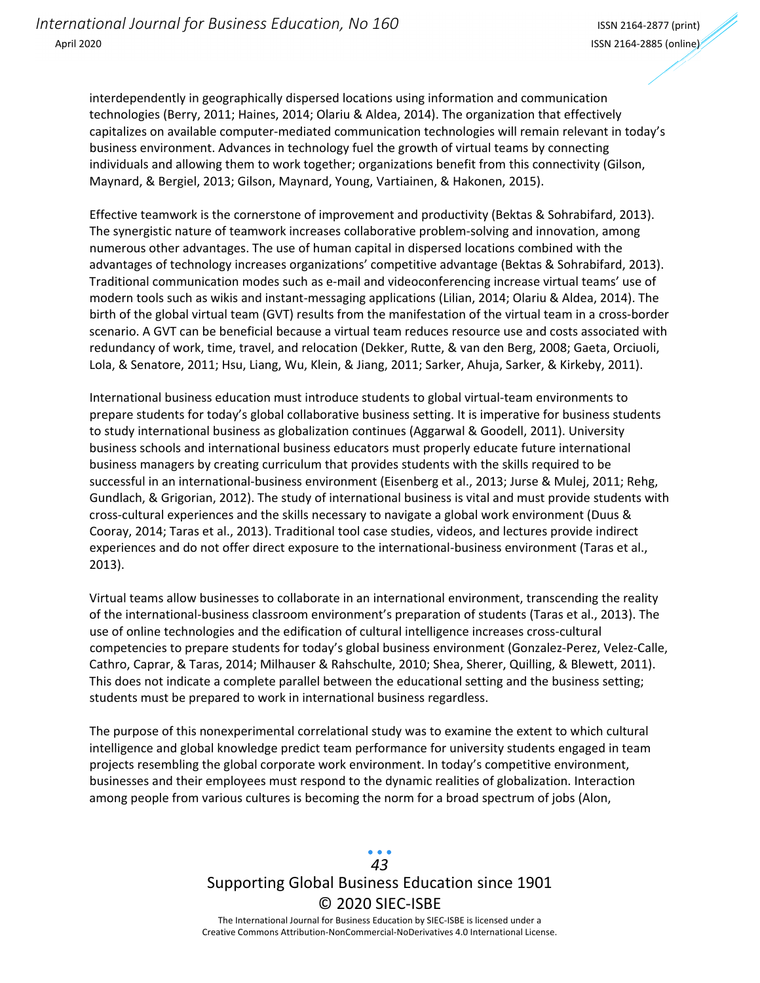interdependently in geographically dispersed locations using information and communication technologies (Berry, 2011; Haines, 2014; Olariu & Aldea, 2014). The organization that effectively capitalizes on available computer‐mediated communication technologies will remain relevant in today's business environment. Advances in technology fuel the growth of virtual teams by connecting individuals and allowing them to work together; organizations benefit from this connectivity (Gilson, Maynard, & Bergiel, 2013; Gilson, Maynard, Young, Vartiainen, & Hakonen, 2015).

Effective teamwork is the cornerstone of improvement and productivity (Bektas & Sohrabifard, 2013). The synergistic nature of teamwork increases collaborative problem‐solving and innovation, among numerous other advantages. The use of human capital in dispersed locations combined with the advantages of technology increases organizations' competitive advantage (Bektas & Sohrabifard, 2013). Traditional communication modes such as e‐mail and videoconferencing increase virtual teams' use of modern tools such as wikis and instant‐messaging applications (Lilian, 2014; Olariu & Aldea, 2014). The birth of the global virtual team (GVT) results from the manifestation of the virtual team in a cross-border scenario. A GVT can be beneficial because a virtual team reduces resource use and costs associated with redundancy of work, time, travel, and relocation (Dekker, Rutte, & van den Berg, 2008; Gaeta, Orciuoli, Lola, & Senatore, 2011; Hsu, Liang, Wu, Klein, & Jiang, 2011; Sarker, Ahuja, Sarker, & Kirkeby, 2011).

International business education must introduce students to global virtual‐team environments to prepare students for today's global collaborative business setting. It is imperative for business students to study international business as globalization continues (Aggarwal & Goodell, 2011). University business schools and international business educators must properly educate future international business managers by creating curriculum that provides students with the skills required to be successful in an international‐business environment (Eisenberg et al., 2013; Jurse & Mulej, 2011; Rehg, Gundlach, & Grigorian, 2012). The study of international business is vital and must provide students with cross‐cultural experiences and the skills necessary to navigate a global work environment (Duus & Cooray, 2014; Taras et al., 2013). Traditional tool case studies, videos, and lectures provide indirect experiences and do not offer direct exposure to the international‐business environment (Taras et al., 2013).

Virtual teams allow businesses to collaborate in an international environment, transcending the reality of the international‐business classroom environment's preparation of students (Taras et al., 2013). The use of online technologies and the edification of cultural intelligence increases cross‐cultural competencies to prepare students for today's global business environment (Gonzalez‐Perez, Velez‐Calle, Cathro, Caprar, & Taras, 2014; Milhauser & Rahschulte, 2010; Shea, Sherer, Quilling, & Blewett, 2011). This does not indicate a complete parallel between the educational setting and the business setting; students must be prepared to work in international business regardless.

The purpose of this nonexperimental correlational study was to examine the extent to which cultural intelligence and global knowledge predict team performance for university students engaged in team projects resembling the global corporate work environment. In today's competitive environment, businesses and their employees must respond to the dynamic realities of globalization. Interaction among people from various cultures is becoming the norm for a broad spectrum of jobs (Alon,

## Supporting Global Business Education since 1901 © 2020 SIEC‐ISBE The International Journal for Business Education by SIEC‐ISBE is licensed under a *43*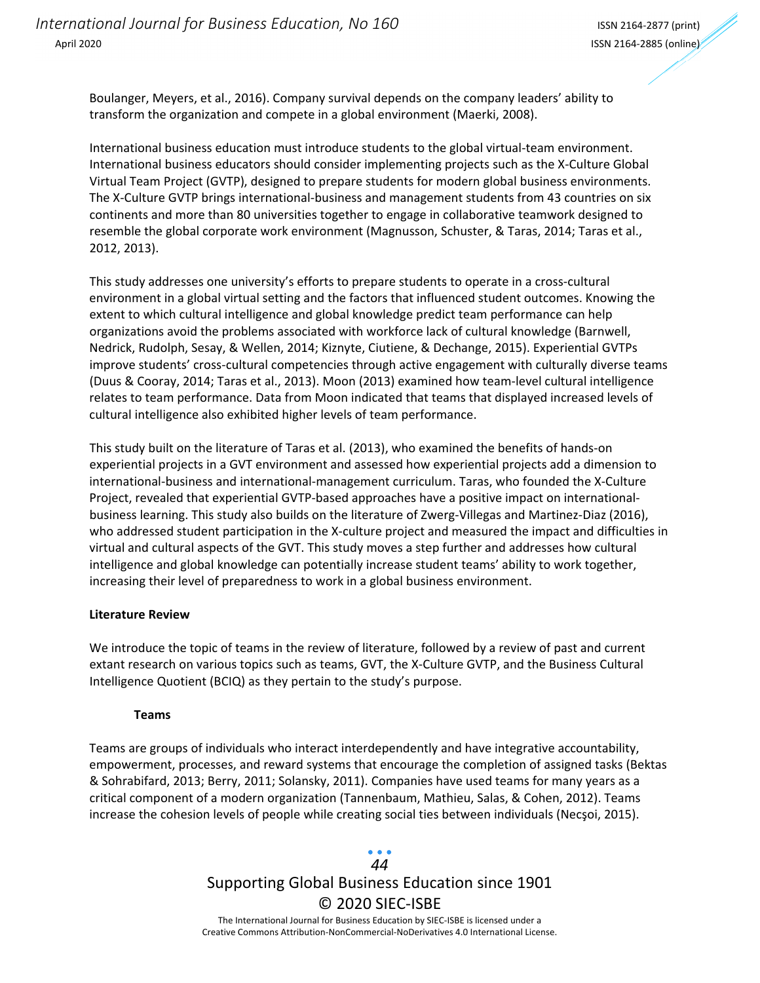Boulanger, Meyers, et al., 2016). Company survival depends on the company leaders' ability to transform the organization and compete in a global environment (Maerki, 2008).

International business education must introduce students to the global virtual‐team environment. International business educators should consider implementing projects such as the X‐Culture Global Virtual Team Project (GVTP), designed to prepare students for modern global business environments. The X‐Culture GVTP brings international‐business and management students from 43 countries on six continents and more than 80 universities together to engage in collaborative teamwork designed to resemble the global corporate work environment (Magnusson, Schuster, & Taras, 2014; Taras et al., 2012, 2013).

This study addresses one university's efforts to prepare students to operate in a cross-cultural environment in a global virtual setting and the factors that influenced student outcomes. Knowing the extent to which cultural intelligence and global knowledge predict team performance can help organizations avoid the problems associated with workforce lack of cultural knowledge (Barnwell, Nedrick, Rudolph, Sesay, & Wellen, 2014; Kiznyte, Ciutiene, & Dechange, 2015). Experiential GVTPs improve students' cross-cultural competencies through active engagement with culturally diverse teams (Duus & Cooray, 2014; Taras et al., 2013). Moon (2013) examined how team‐level cultural intelligence relates to team performance. Data from Moon indicated that teams that displayed increased levels of cultural intelligence also exhibited higher levels of team performance.

This study built on the literature of Taras et al. (2013), who examined the benefits of hands‐on experiential projects in a GVT environment and assessed how experiential projects add a dimension to international‐business and international‐management curriculum. Taras, who founded the X‐Culture Project, revealed that experiential GVTP‐based approaches have a positive impact on international‐ business learning. This study also builds on the literature of Zwerg‐Villegas and Martinez‐Diaz (2016), who addressed student participation in the X-culture project and measured the impact and difficulties in virtual and cultural aspects of the GVT. This study moves a step further and addresses how cultural intelligence and global knowledge can potentially increase student teams' ability to work together, increasing their level of preparedness to work in a global business environment.

#### **Literature Review**

We introduce the topic of teams in the review of literature, followed by a review of past and current extant research on various topics such as teams, GVT, the X‐Culture GVTP, and the Business Cultural Intelligence Quotient (BCIQ) as they pertain to the study's purpose.

#### **Teams**

Teams are groups of individuals who interact interdependently and have integrative accountability, empowerment, processes, and reward systems that encourage the completion of assigned tasks (Bektas & Sohrabifard, 2013; Berry, 2011; Solansky, 2011). Companies have used teams for many years as a critical component of a modern organization (Tannenbaum, Mathieu, Salas, & Cohen, 2012). Teams increase the cohesion levels of people while creating social ties between individuals (Necşoi, 2015).

### Supporting Global Business Education since 1901 © 2020 SIEC‐ISBE The International Journal for Business Education by SIEC‐ISBE is licensed under a *44*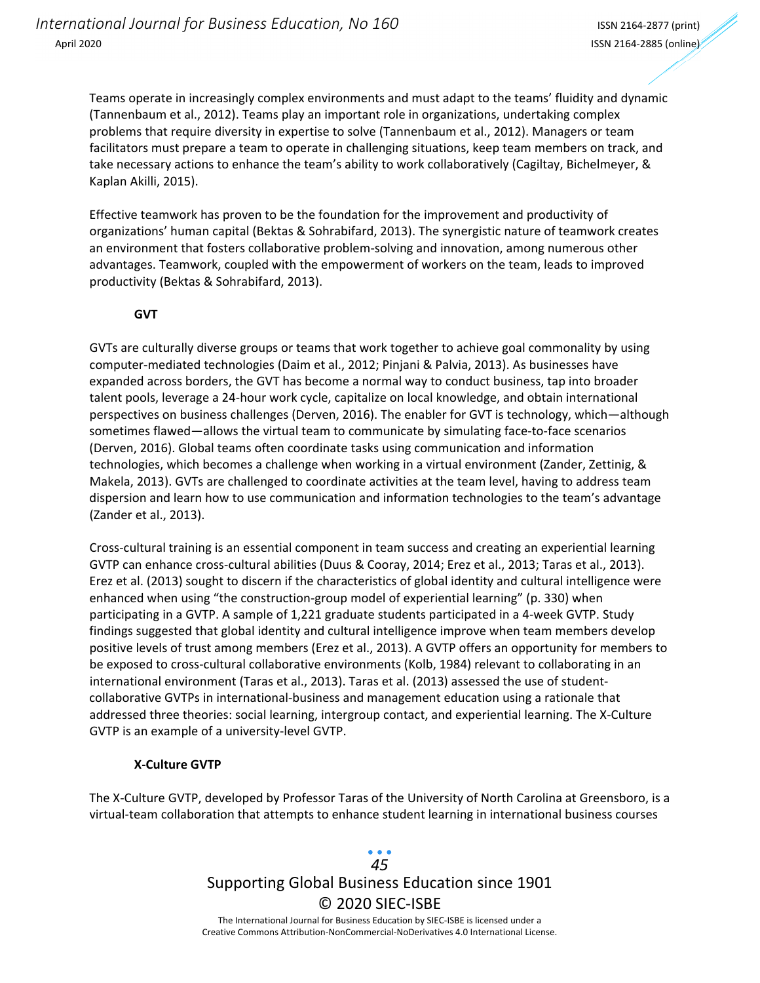Teams operate in increasingly complex environments and must adapt to the teams' fluidity and dynamic (Tannenbaum et al., 2012). Teams play an important role in organizations, undertaking complex problems that require diversity in expertise to solve (Tannenbaum et al., 2012). Managers or team facilitators must prepare a team to operate in challenging situations, keep team members on track, and take necessary actions to enhance the team's ability to work collaboratively (Cagiltay, Bichelmeyer, & Kaplan Akilli, 2015).

Effective teamwork has proven to be the foundation for the improvement and productivity of organizations' human capital (Bektas & Sohrabifard, 2013). The synergistic nature of teamwork creates an environment that fosters collaborative problem‐solving and innovation, among numerous other advantages. Teamwork, coupled with the empowerment of workers on the team, leads to improved productivity (Bektas & Sohrabifard, 2013).

#### **GVT**

GVTs are culturally diverse groups or teams that work together to achieve goal commonality by using computer‐mediated technologies (Daim et al., 2012; Pinjani & Palvia, 2013). As businesses have expanded across borders, the GVT has become a normal way to conduct business, tap into broader talent pools, leverage a 24‐hour work cycle, capitalize on local knowledge, and obtain international perspectives on business challenges (Derven, 2016). The enabler for GVT is technology, which—although sometimes flawed—allows the virtual team to communicate by simulating face-to-face scenarios (Derven, 2016). Global teams often coordinate tasks using communication and information technologies, which becomes a challenge when working in a virtual environment (Zander, Zettinig, & Makela, 2013). GVTs are challenged to coordinate activities at the team level, having to address team dispersion and learn how to use communication and information technologies to the team's advantage (Zander et al., 2013).

Cross‐cultural training is an essential component in team success and creating an experiential learning GVTP can enhance cross‐cultural abilities (Duus & Cooray, 2014; Erez et al., 2013; Taras et al., 2013). Erez et al. (2013) sought to discern if the characteristics of global identity and cultural intelligence were enhanced when using "the construction‐group model of experiential learning" (p. 330) when participating in a GVTP. A sample of 1,221 graduate students participated in a 4‐week GVTP. Study findings suggested that global identity and cultural intelligence improve when team members develop positive levels of trust among members (Erez et al., 2013). A GVTP offers an opportunity for members to be exposed to cross‐cultural collaborative environments (Kolb, 1984) relevant to collaborating in an international environment (Taras et al., 2013). Taras et al. (2013) assessed the use of studentcollaborative GVTPs in international‐business and management education using a rationale that addressed three theories: social learning, intergroup contact, and experiential learning. The X‐Culture GVTP is an example of a university‐level GVTP.

#### **X‐Culture GVTP**

The X‐Culture GVTP, developed by Professor Taras of the University of North Carolina at Greensboro, is a virtual‐team collaboration that attempts to enhance student learning in international business courses

## Supporting Global Business Education since 1901 © 2020 SIEC‐ISBE The International Journal for Business Education by SIEC‐ISBE is licensed under a *45*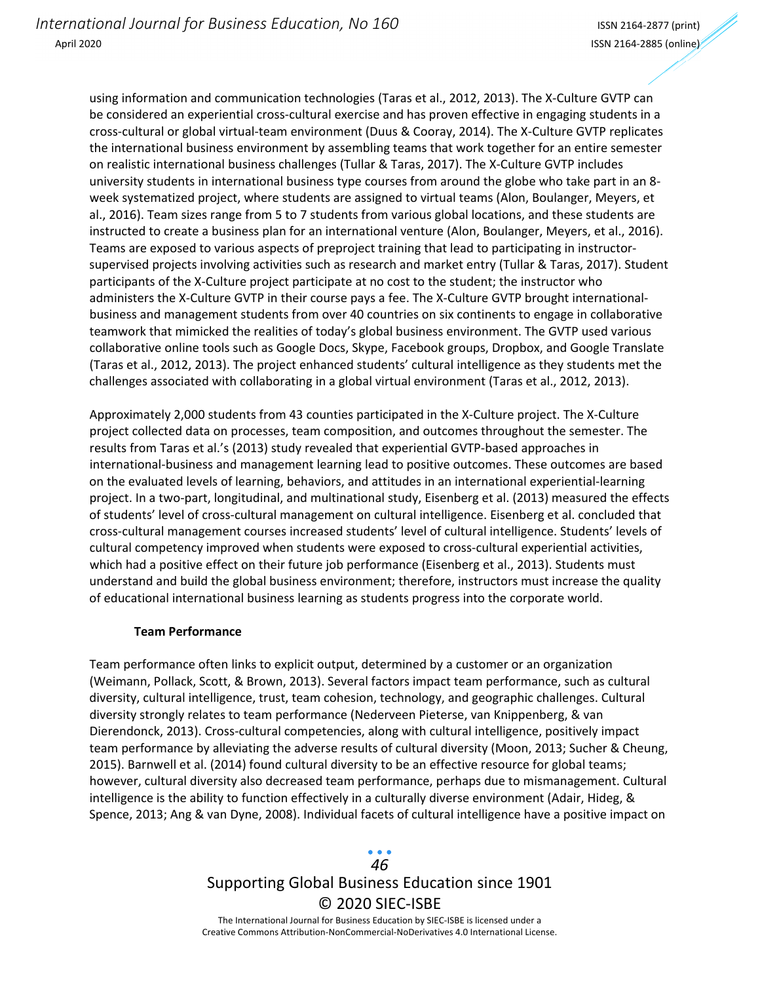using information and communication technologies (Taras et al., 2012, 2013). The X‐Culture GVTP can be considered an experiential cross-cultural exercise and has proven effective in engaging students in a cross‐cultural or global virtual‐team environment (Duus & Cooray, 2014). The X‐Culture GVTP replicates the international business environment by assembling teams that work together for an entire semester on realistic international business challenges (Tullar & Taras, 2017). The X‐Culture GVTP includes university students in international business type courses from around the globe who take part in an 8‐ week systematized project, where students are assigned to virtual teams (Alon, Boulanger, Meyers, et al., 2016). Team sizes range from 5 to 7 students from various global locations, and these students are instructed to create a business plan for an international venture (Alon, Boulanger, Meyers, et al., 2016). Teams are exposed to various aspects of preproject training that lead to participating in instructor‐ supervised projects involving activities such as research and market entry (Tullar & Taras, 2017). Student participants of the X‐Culture project participate at no cost to the student; the instructor who administers the X‐Culture GVTP in their course pays a fee. The X‐Culture GVTP brought international‐ business and management students from over 40 countries on six continents to engage in collaborative teamwork that mimicked the realities of today's global business environment. The GVTP used various collaborative online tools such as Google Docs, Skype, Facebook groups, Dropbox, and Google Translate (Taras et al., 2012, 2013). The project enhanced students' cultural intelligence as they students met the challenges associated with collaborating in a global virtual environment (Taras et al., 2012, 2013).

Approximately 2,000 students from 43 counties participated in the X‐Culture project. The X‐Culture project collected data on processes, team composition, and outcomes throughout the semester. The results from Taras et al.'s (2013) study revealed that experiential GVTP‐based approaches in international‐business and management learning lead to positive outcomes. These outcomes are based on the evaluated levels of learning, behaviors, and attitudes in an international experiential‐learning project. In a two-part, longitudinal, and multinational study, Eisenberg et al. (2013) measured the effects of students' level of cross‐cultural management on cultural intelligence. Eisenberg et al. concluded that cross‐cultural management courses increased students' level of cultural intelligence. Students' levels of cultural competency improved when students were exposed to cross-cultural experiential activities, which had a positive effect on their future job performance (Eisenberg et al., 2013). Students must understand and build the global business environment; therefore, instructors must increase the quality of educational international business learning as students progress into the corporate world.

#### **Team Performance**

Team performance often links to explicit output, determined by a customer or an organization (Weimann, Pollack, Scott, & Brown, 2013). Several factors impact team performance, such as cultural diversity, cultural intelligence, trust, team cohesion, technology, and geographic challenges. Cultural diversity strongly relates to team performance (Nederveen Pieterse, van Knippenberg, & van Dierendonck, 2013). Cross‐cultural competencies, along with cultural intelligence, positively impact team performance by alleviating the adverse results of cultural diversity (Moon, 2013; Sucher & Cheung, 2015). Barnwell et al. (2014) found cultural diversity to be an effective resource for global teams; however, cultural diversity also decreased team performance, perhaps due to mismanagement. Cultural intelligence is the ability to function effectively in a culturally diverse environment (Adair, Hideg, & Spence, 2013; Ang & van Dyne, 2008). Individual facets of cultural intelligence have a positive impact on

# Supporting Global Business Education since 1901 © 2020 SIEC‐ISBE *46*

The International Journal for Business Education by SIEC‐ISBE is licensed under a Creative Commons Attribution‐NonCommercial‐NoDerivatives 4.0 International License.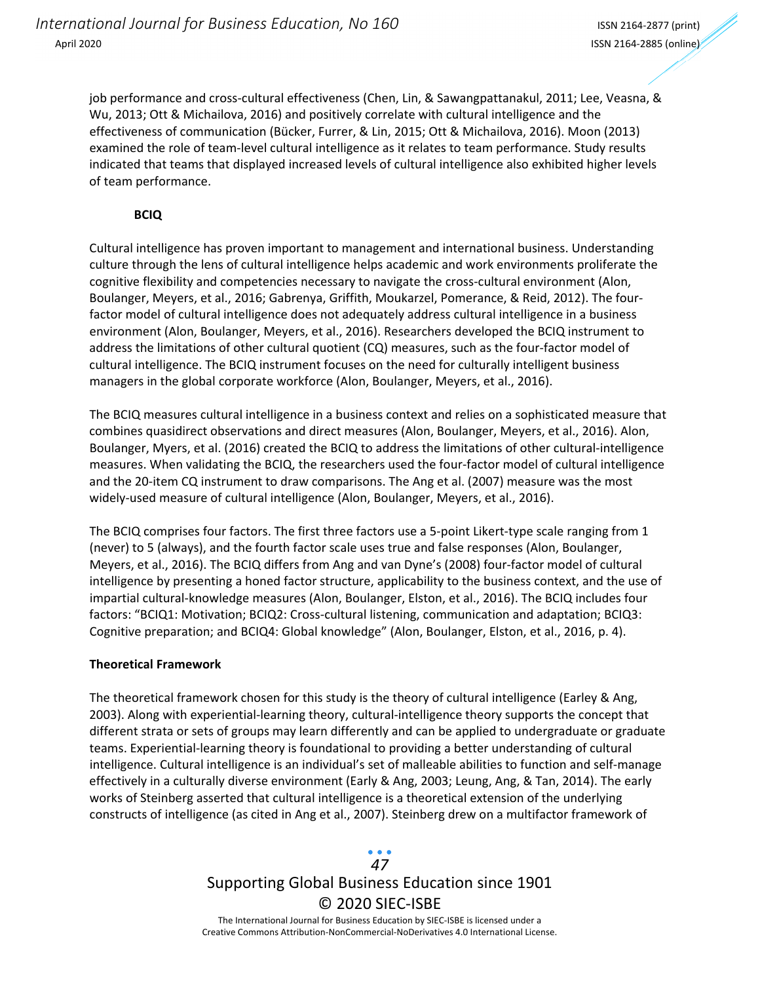job performance and cross-cultural effectiveness (Chen, Lin, & Sawangpattanakul, 2011; Lee, Veasna, & Wu, 2013; Ott & Michailova, 2016) and positively correlate with cultural intelligence and the effectiveness of communication (Bücker, Furrer, & Lin, 2015; Ott & Michailova, 2016). Moon (2013) examined the role of team‐level cultural intelligence as it relates to team performance. Study results indicated that teams that displayed increased levels of cultural intelligence also exhibited higher levels of team performance.

### **BCIQ**

Cultural intelligence has proven important to management and international business. Understanding culture through the lens of cultural intelligence helps academic and work environments proliferate the cognitive flexibility and competencies necessary to navigate the cross-cultural environment (Alon, Boulanger, Meyers, et al., 2016; Gabrenya, Griffith, Moukarzel, Pomerance, & Reid, 2012). The four‐ factor model of cultural intelligence does not adequately address cultural intelligence in a business environment (Alon, Boulanger, Meyers, et al., 2016). Researchers developed the BCIQ instrument to address the limitations of other cultural quotient (CQ) measures, such as the four-factor model of cultural intelligence. The BCIQ instrument focuses on the need for culturally intelligent business managers in the global corporate workforce (Alon, Boulanger, Meyers, et al., 2016).

The BCIQ measures cultural intelligence in a business context and relies on a sophisticated measure that combines quasidirect observations and direct measures (Alon, Boulanger, Meyers, et al., 2016). Alon, Boulanger, Myers, et al. (2016) created the BCIQ to address the limitations of other cultural‐intelligence measures. When validating the BCIQ, the researchers used the four-factor model of cultural intelligence and the 20‐item CQ instrument to draw comparisons. The Ang et al. (2007) measure was the most widely‐used measure of cultural intelligence (Alon, Boulanger, Meyers, et al., 2016).

The BCIQ comprises four factors. The first three factors use a 5-point Likert-type scale ranging from 1 (never) to 5 (always), and the fourth factor scale uses true and false responses (Alon, Boulanger, Meyers, et al., 2016). The BCIQ differs from Ang and van Dyne's (2008) four‐factor model of cultural intelligence by presenting a honed factor structure, applicability to the business context, and the use of impartial cultural‐knowledge measures (Alon, Boulanger, Elston, et al., 2016). The BCIQ includes four factors: "BCIQ1: Motivation; BCIQ2: Cross-cultural listening, communication and adaptation; BCIQ3: Cognitive preparation; and BCIQ4: Global knowledge" (Alon, Boulanger, Elston, et al., 2016, p. 4).

#### **Theoretical Framework**

The theoretical framework chosen for this study is the theory of cultural intelligence (Earley & Ang, 2003). Along with experiential‐learning theory, cultural‐intelligence theory supports the concept that different strata or sets of groups may learn differently and can be applied to undergraduate or graduate teams. Experiential‐learning theory is foundational to providing a better understanding of cultural intelligence. Cultural intelligence is an individual's set of malleable abilities to function and self-manage effectively in a culturally diverse environment (Early & Ang, 2003; Leung, Ang, & Tan, 2014). The early works of Steinberg asserted that cultural intelligence is a theoretical extension of the underlying constructs of intelligence (as cited in Ang et al., 2007). Steinberg drew on a multifactor framework of

### Supporting Global Business Education since 1901 © 2020 SIEC‐ISBE The International Journal for Business Education by SIEC‐ISBE is licensed under a *47*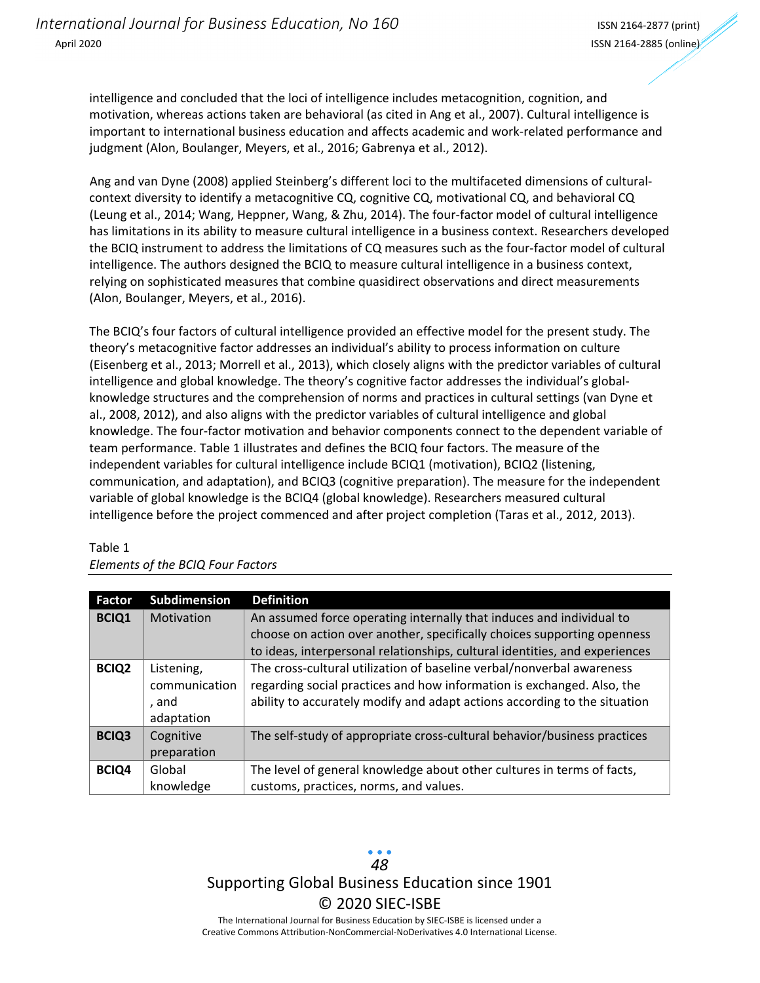intelligence and concluded that the loci of intelligence includes metacognition, cognition, and motivation, whereas actions taken are behavioral (as cited in Ang et al., 2007). Cultural intelligence is important to international business education and affects academic and work‐related performance and judgment (Alon, Boulanger, Meyers, et al., 2016; Gabrenya et al., 2012).

Ang and van Dyne (2008) applied Steinberg's different loci to the multifaceted dimensions of cultural‐ context diversity to identify a metacognitive CQ, cognitive CQ, motivational CQ, and behavioral CQ (Leung et al., 2014; Wang, Heppner, Wang, & Zhu, 2014). The four‐factor model of cultural intelligence has limitations in its ability to measure cultural intelligence in a business context. Researchers developed the BCIQ instrument to address the limitations of CQ measures such as the four-factor model of cultural intelligence. The authors designed the BCIQ to measure cultural intelligence in a business context, relying on sophisticated measures that combine quasidirect observations and direct measurements (Alon, Boulanger, Meyers, et al., 2016).

The BCIQ's four factors of cultural intelligence provided an effective model for the present study. The theory's metacognitive factor addresses an individual's ability to process information on culture (Eisenberg et al., 2013; Morrell et al., 2013), which closely aligns with the predictor variables of cultural intelligence and global knowledge. The theory's cognitive factor addresses the individual's globalknowledge structures and the comprehension of norms and practices in cultural settings (van Dyne et al., 2008, 2012), and also aligns with the predictor variables of cultural intelligence and global knowledge. The four‐factor motivation and behavior components connect to the dependent variable of team performance. Table 1 illustrates and defines the BCIQ four factors. The measure of the independent variables for cultural intelligence include BCIQ1 (motivation), BCIQ2 (listening, communication, and adaptation), and BCIQ3 (cognitive preparation). The measure for the independent variable of global knowledge is the BCIQ4 (global knowledge). Researchers measured cultural intelligence before the project commenced and after project completion (Taras et al., 2012, 2013).

| <b>Factor</b> | Subdimension  | <b>Definition</b>                                                           |
|---------------|---------------|-----------------------------------------------------------------------------|
| <b>BCIQ1</b>  | Motivation    | An assumed force operating internally that induces and individual to        |
|               |               | choose on action over another, specifically choices supporting openness     |
|               |               | to ideas, interpersonal relationships, cultural identities, and experiences |
| <b>BCIQ2</b>  | Listening,    | The cross-cultural utilization of baseline verbal/nonverbal awareness       |
|               | communication | regarding social practices and how information is exchanged. Also, the      |
|               | . and         | ability to accurately modify and adapt actions according to the situation   |
|               | adaptation    |                                                                             |
| <b>BCIQ3</b>  | Cognitive     | The self-study of appropriate cross-cultural behavior/business practices    |
|               | preparation   |                                                                             |
| BCIQ4         | Global        | The level of general knowledge about other cultures in terms of facts,      |
|               | knowledge     | customs, practices, norms, and values.                                      |

#### Table 1 *Elements of the BCIQ Four Factors*

Supporting Global Business Education since 1901 © 2020 SIEC‐ISBE *48*

The International Journal for Business Education by SIEC‐ISBE is licensed under a Creative Commons Attribution‐NonCommercial‐NoDerivatives 4.0 International License.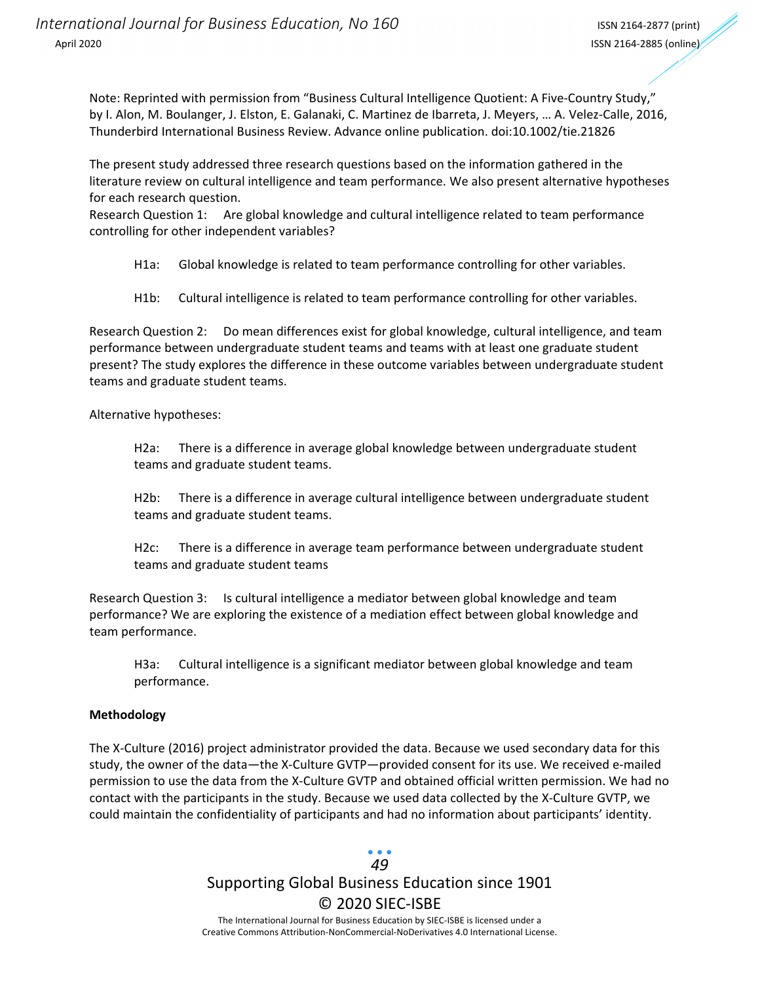Note: Reprinted with permission from "Business Cultural Intelligence Quotient: A Five‐Country Study," by I. Alon, M. Boulanger, J. Elston, E. Galanaki, C. Martinez de Ibarreta, J. Meyers, … A. Velez‐Calle, 2016, Thunderbird International Business Review. Advance online publication. doi:10.1002/tie.21826

The present study addressed three research questions based on the information gathered in the literature review on cultural intelligence and team performance. We also present alternative hypotheses for each research question.

Research Question 1: Are global knowledge and cultural intelligence related to team performance controlling for other independent variables?

H1a: Global knowledge is related to team performance controlling for other variables.

H1b: Cultural intelligence is related to team performance controlling for other variables.

Research Question 2: Do mean differences exist for global knowledge, cultural intelligence, and team performance between undergraduate student teams and teams with at least one graduate student present? The study explores the difference in these outcome variables between undergraduate student teams and graduate student teams.

Alternative hypotheses:

H2a: There is a difference in average global knowledge between undergraduate student teams and graduate student teams.

H2b: There is a difference in average cultural intelligence between undergraduate student teams and graduate student teams.

H2c: There is a difference in average team performance between undergraduate student teams and graduate student teams

Research Question 3: Is cultural intelligence a mediator between global knowledge and team performance? We are exploring the existence of a mediation effect between global knowledge and team performance.

H3a: Cultural intelligence is a significant mediator between global knowledge and team performance.

#### **Methodology**

The X‐Culture (2016) project administrator provided the data. Because we used secondary data for this study, the owner of the data—the X‐Culture GVTP—provided consent for its use. We received e‐mailed permission to use the data from the X‐Culture GVTP and obtained official written permission. We had no contact with the participants in the study. Because we used data collected by the X‐Culture GVTP, we could maintain the confidentiality of participants and had no information about participants' identity.

### Supporting Global Business Education since 1901 © 2020 SIEC‐ISBE The International Journal for Business Education by SIEC‐ISBE is licensed under a *49*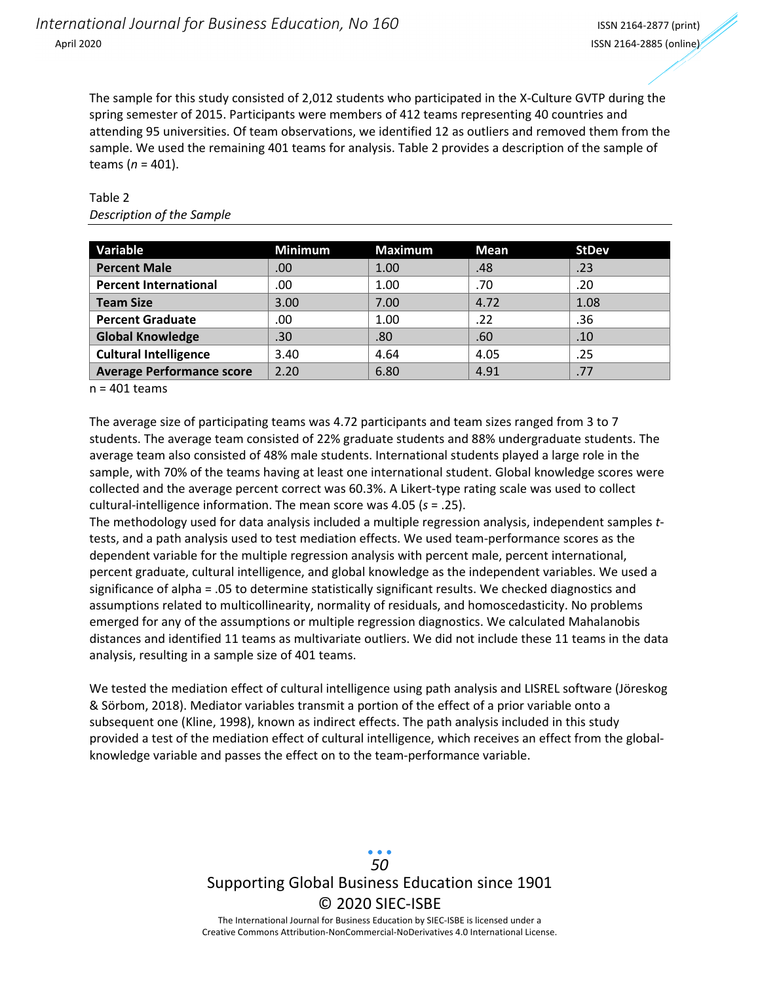The sample for this study consisted of 2,012 students who participated in the X‐Culture GVTP during the spring semester of 2015. Participants were members of 412 teams representing 40 countries and attending 95 universities. Of team observations, we identified 12 as outliers and removed them from the sample. We used the remaining 401 teams for analysis. Table 2 provides a description of the sample of teams (*n* = 401).

| Variable                         | <b>Minimum</b> | <b>Maximum</b> | Mean | <b>StDev</b> |
|----------------------------------|----------------|----------------|------|--------------|
| <b>Percent Male</b>              | .00            | 1.00           | .48  | .23          |
| <b>Percent International</b>     | .00            | 1.00           | .70  | .20          |
| <b>Team Size</b>                 | 3.00           | 7.00           | 4.72 | 1.08         |
| <b>Percent Graduate</b>          | .00            | 1.00           | .22  | .36          |
| <b>Global Knowledge</b>          | .30            | .80            | .60  | .10          |
| <b>Cultural Intelligence</b>     | 3.40           | 4.64           | 4.05 | .25          |
| <b>Average Performance score</b> | 2.20           | 6.80           | 4.91 | .77          |

#### Table 2 *Description of the Sample*

n = 401 teams

The average size of participating teams was 4.72 participants and team sizes ranged from 3 to 7 students. The average team consisted of 22% graduate students and 88% undergraduate students. The average team also consisted of 48% male students. International students played a large role in the sample, with 70% of the teams having at least one international student. Global knowledge scores were collected and the average percent correct was 60.3%. A Likert-type rating scale was used to collect cultural‐intelligence information. The mean score was 4.05 (*s* = .25).

The methodology used for data analysis included a multiple regression analysis, independent samples *t*‐ tests, and a path analysis used to test mediation effects. We used team‐performance scores as the dependent variable for the multiple regression analysis with percent male, percent international, percent graduate, cultural intelligence, and global knowledge as the independent variables. We used a significance of alpha = .05 to determine statistically significant results. We checked diagnostics and assumptions related to multicollinearity, normality of residuals, and homoscedasticity. No problems emerged for any of the assumptions or multiple regression diagnostics. We calculated Mahalanobis distances and identified 11 teams as multivariate outliers. We did not include these 11 teams in the data analysis, resulting in a sample size of 401 teams.

We tested the mediation effect of cultural intelligence using path analysis and LISREL software (Jöreskog & Sörbom, 2018). Mediator variables transmit a portion of the effect of a prior variable onto a subsequent one (Kline, 1998), known as indirect effects. The path analysis included in this study provided a test of the mediation effect of cultural intelligence, which receives an effect from the global‐ knowledge variable and passes the effect on to the team‐performance variable.

> Supporting Global Business Education since 1901 © 2020 SIEC‐ISBE The International Journal for Business Education by SIEC‐ISBE is licensed under a Creative Commons Attribution‐NonCommercial‐NoDerivatives 4.0 International License. *50*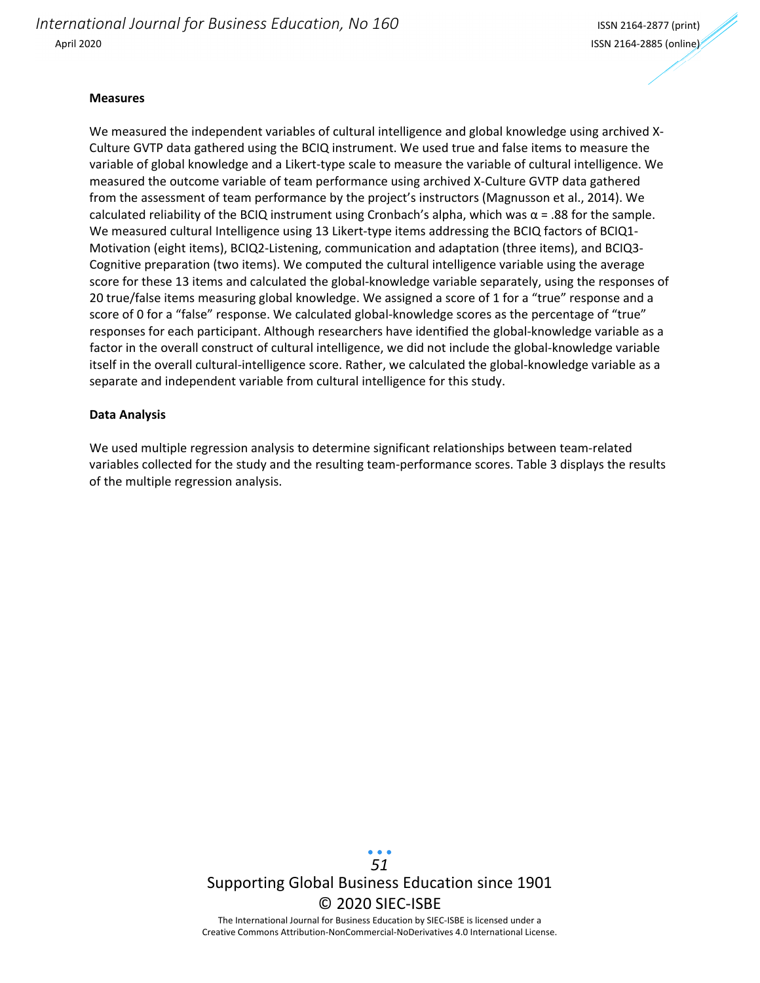*International Journal for Business Education, No 160* ISSN <sup>2164</sup>‐<sup>2877</sup> (print) April 2020 ISSN 2164‐2885 (online)

#### **Measures**

We measured the independent variables of cultural intelligence and global knowledge using archived X-Culture GVTP data gathered using the BCIQ instrument. We used true and false items to measure the variable of global knowledge and a Likert‐type scale to measure the variable of cultural intelligence. We measured the outcome variable of team performance using archived X‐Culture GVTP data gathered from the assessment of team performance by the project's instructors (Magnusson et al., 2014). We calculated reliability of the BCIQ instrument using Cronbach's alpha, which was  $\alpha$  = .88 for the sample. We measured cultural Intelligence using 13 Likert-type items addressing the BCIQ factors of BCIQ1-Motivation (eight items), BCIQ2-Listening, communication and adaptation (three items), and BCIQ3-Cognitive preparation (two items). We computed the cultural intelligence variable using the average score for these 13 items and calculated the global-knowledge variable separately, using the responses of 20 true/false items measuring global knowledge. We assigned a score of 1 for a "true" response and a score of 0 for a "false" response. We calculated global-knowledge scores as the percentage of "true" responses for each participant. Although researchers have identified the global‐knowledge variable as a factor in the overall construct of cultural intelligence, we did not include the global-knowledge variable itself in the overall cultural-intelligence score. Rather, we calculated the global-knowledge variable as a separate and independent variable from cultural intelligence for this study.

#### **Data Analysis**

We used multiple regression analysis to determine significant relationships between team‐related variables collected for the study and the resulting team‐performance scores. Table 3 displays the results of the multiple regression analysis.

> Supporting Global Business Education since 1901 © 2020 SIEC‐ISBE The International Journal for Business Education by SIEC‐ISBE is licensed under a Creative Commons Attribution‐NonCommercial‐NoDerivatives 4.0 International License. *51*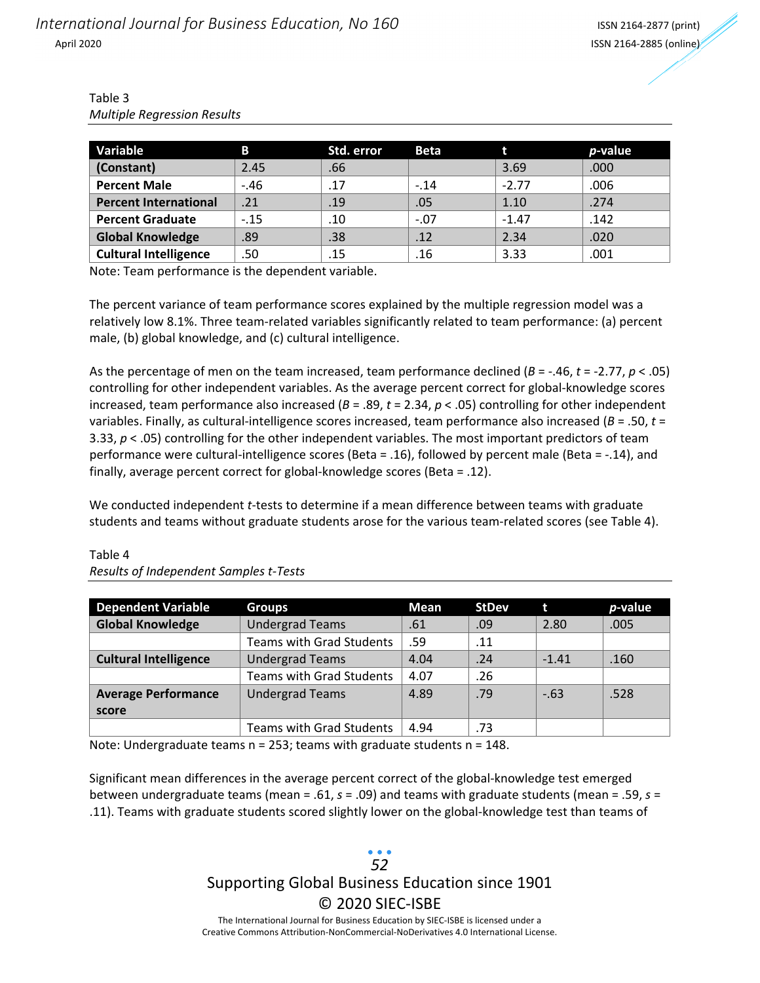| Table 3                            |
|------------------------------------|
| <b>Multiple Regression Results</b> |

| Variable                     | B      | Std. error | <b>Beta</b> |         | <i>p</i> -value |
|------------------------------|--------|------------|-------------|---------|-----------------|
| Constant)                    | 2.45   | .66        |             | 3.69    | .000            |
| <b>Percent Male</b>          | $-.46$ | .17        | $-.14$      | $-2.77$ | .006            |
| <b>Percent International</b> | .21    | .19        | .05         | 1.10    | .274            |
| <b>Percent Graduate</b>      | $-.15$ | .10        | $-.07$      | $-1.47$ | .142            |
| <b>Global Knowledge</b>      | .89    | .38        | .12         | 2.34    | .020            |
| <b>Cultural Intelligence</b> | .50    | .15        | .16         | 3.33    | .001            |

Note: Team performance is the dependent variable.

The percent variance of team performance scores explained by the multiple regression model was a relatively low 8.1%. Three team‐related variables significantly related to team performance: (a) percent male, (b) global knowledge, and (c) cultural intelligence.

As the percentage of men on the team increased, team performance declined (*B* = ‐.46, *t* = ‐2.77, *p* < .05) controlling for other independent variables. As the average percent correct for global-knowledge scores increased, team performance also increased (*B* = .89, *t* = 2.34, *p* < .05) controlling for other independent variables. Finally, as cultural‐intelligence scores increased, team performance also increased (*B* = .50, *t* = 3.33, *p* < .05) controlling for the other independent variables. The most important predictors of team performance were cultural‐intelligence scores (Beta = .16), followed by percent male (Beta = ‐.14), and finally, average percent correct for global‐knowledge scores (Beta = .12).

We conducted independent *t*-tests to determine if a mean difference between teams with graduate students and teams without graduate students arose for the various team-related scores (see Table 4).

| <b>Dependent Variable</b>    | <b>Groups</b>                   | Mean | <b>StDev</b> | t       | <i>p</i> -value |
|------------------------------|---------------------------------|------|--------------|---------|-----------------|
| <b>Global Knowledge</b>      | <b>Undergrad Teams</b>          | .61  | .09          | 2.80    | .005            |
|                              | <b>Teams with Grad Students</b> | .59  | .11          |         |                 |
| <b>Cultural Intelligence</b> | <b>Undergrad Teams</b>          | 4.04 | .24          | $-1.41$ | .160            |
|                              | <b>Teams with Grad Students</b> | 4.07 | .26          |         |                 |
| <b>Average Performance</b>   | <b>Undergrad Teams</b>          | 4.89 | .79          | $-.63$  | .528            |
| score                        |                                 |      |              |         |                 |
|                              | <b>Teams with Grad Students</b> | 4.94 | .73          |         |                 |

### Table 4 *Results of Independent Samples t‐Tests*

Note: Undergraduate teams n = 253; teams with graduate students n = 148.

Significant mean differences in the average percent correct of the global-knowledge test emerged between undergraduate teams (mean = .61, *s* = .09) and teams with graduate students (mean = .59, *s* = .11). Teams with graduate students scored slightly lower on the global‐knowledge test than teams of

# Supporting Global Business Education since 1901 © 2020 SIEC‐ISBE *52*

The International Journal for Business Education by SIEC‐ISBE is licensed under a Creative Commons Attribution‐NonCommercial‐NoDerivatives 4.0 International License.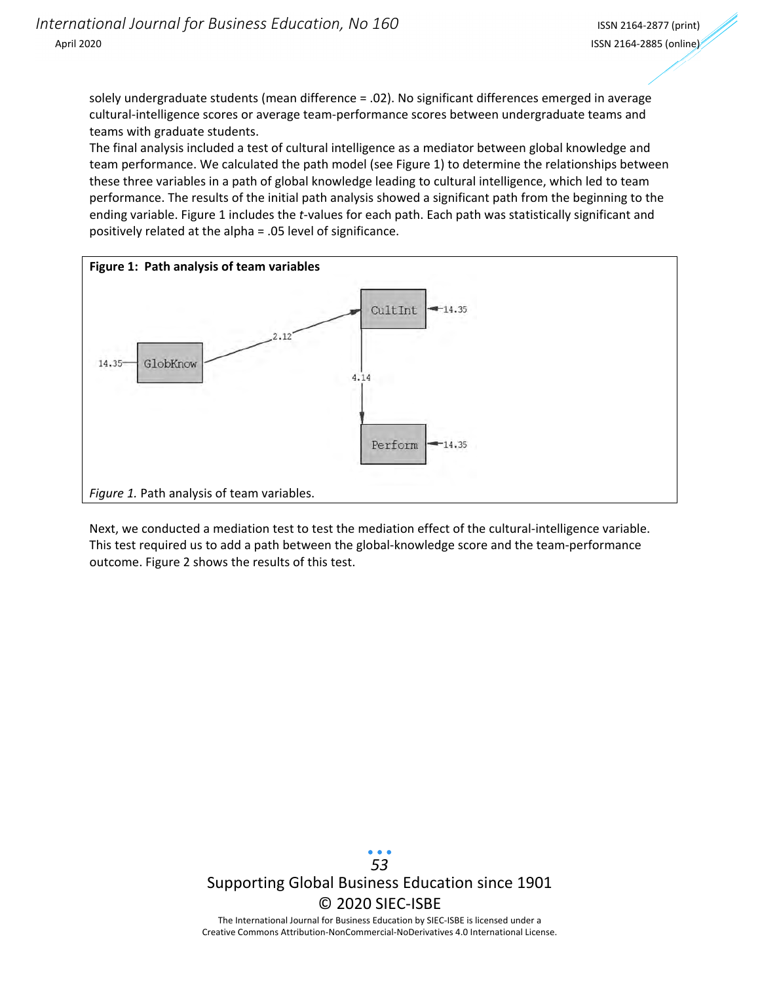solely undergraduate students (mean difference = .02). No significant differences emerged in average cultural‐intelligence scores or average team‐performance scores between undergraduate teams and teams with graduate students.

The final analysis included a test of cultural intelligence as a mediator between global knowledge and team performance. We calculated the path model (see Figure 1) to determine the relationships between these three variables in a path of global knowledge leading to cultural intelligence, which led to team performance. The results of the initial path analysis showed a significant path from the beginning to the ending variable. Figure 1 includes the *t*-values for each path. Each path was statistically significant and positively related at the alpha = .05 level of significance.



Next, we conducted a mediation test to test the mediation effect of the cultural-intelligence variable. This test required us to add a path between the global‐knowledge score and the team‐performance outcome. Figure 2 shows the results of this test.

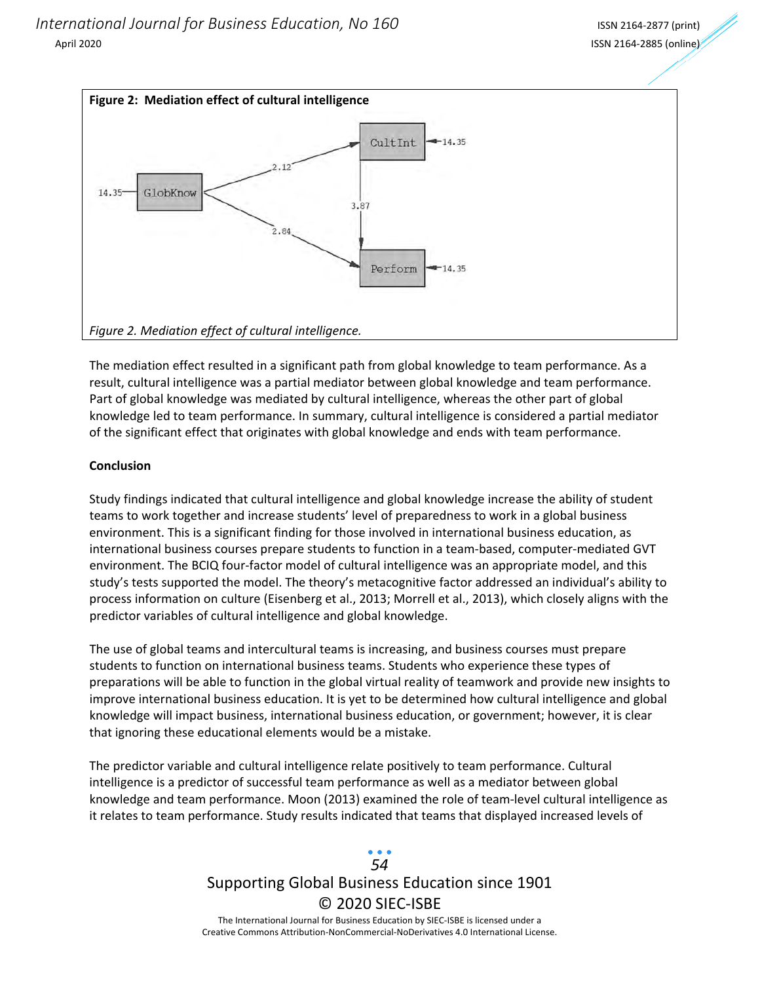

The mediation effect resulted in a significant path from global knowledge to team performance. As a result, cultural intelligence was a partial mediator between global knowledge and team performance. Part of global knowledge was mediated by cultural intelligence, whereas the other part of global knowledge led to team performance. In summary, cultural intelligence is considered a partial mediator of the significant effect that originates with global knowledge and ends with team performance.

#### **Conclusion**

Study findings indicated that cultural intelligence and global knowledge increase the ability of student teams to work together and increase students' level of preparedness to work in a global business environment. This is a significant finding for those involved in international business education, as international business courses prepare students to function in a team‐based, computer‐mediated GVT environment. The BCIQ four‐factor model of cultural intelligence was an appropriate model, and this study's tests supported the model. The theory's metacognitive factor addressed an individual's ability to process information on culture (Eisenberg et al., 2013; Morrell et al., 2013), which closely aligns with the predictor variables of cultural intelligence and global knowledge.

The use of global teams and intercultural teams is increasing, and business courses must prepare students to function on international business teams. Students who experience these types of preparations will be able to function in the global virtual reality of teamwork and provide new insights to improve international business education. It is yet to be determined how cultural intelligence and global knowledge will impact business, international business education, or government; however, it is clear that ignoring these educational elements would be a mistake.

The predictor variable and cultural intelligence relate positively to team performance. Cultural intelligence is a predictor of successful team performance as well as a mediator between global knowledge and team performance. Moon (2013) examined the role of team‐level cultural intelligence as it relates to team performance. Study results indicated that teams that displayed increased levels of

## Supporting Global Business Education since 1901 © 2020 SIEC‐ISBE The International Journal for Business Education by SIEC‐ISBE is licensed under a *54*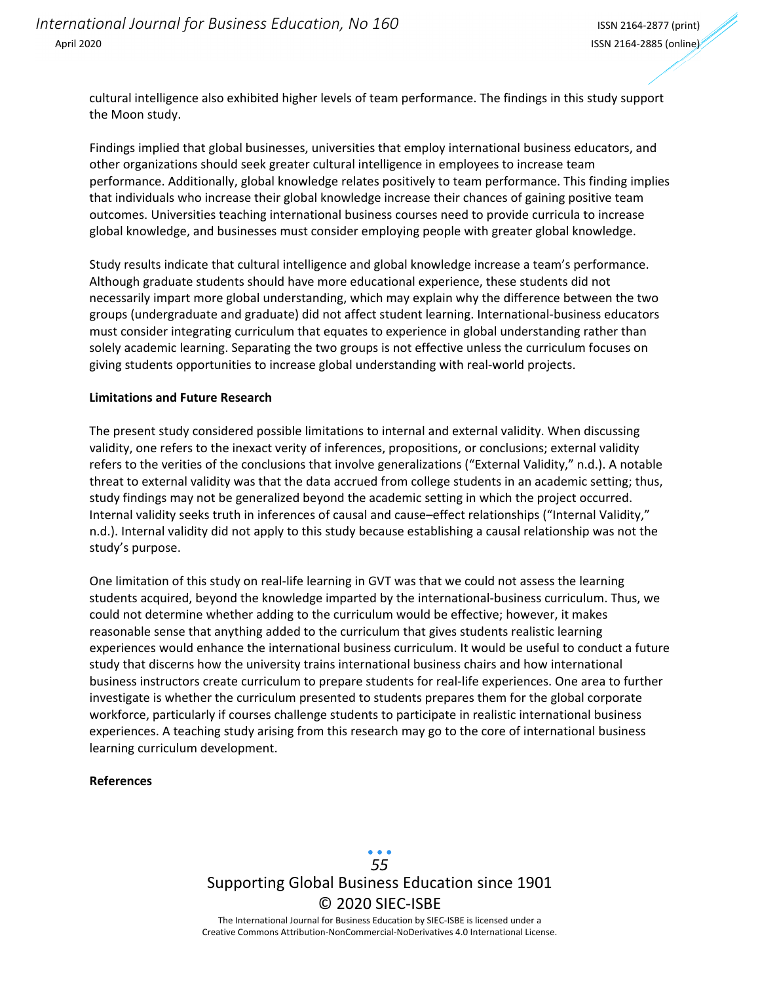cultural intelligence also exhibited higher levels of team performance. The findings in this study support the Moon study.

Findings implied that global businesses, universities that employ international business educators, and other organizations should seek greater cultural intelligence in employees to increase team performance. Additionally, global knowledge relates positively to team performance. This finding implies that individuals who increase their global knowledge increase their chances of gaining positive team outcomes. Universities teaching international business courses need to provide curricula to increase global knowledge, and businesses must consider employing people with greater global knowledge.

Study results indicate that cultural intelligence and global knowledge increase a team's performance. Although graduate students should have more educational experience, these students did not necessarily impart more global understanding, which may explain why the difference between the two groups (undergraduate and graduate) did not affect student learning. International‐business educators must consider integrating curriculum that equates to experience in global understanding rather than solely academic learning. Separating the two groups is not effective unless the curriculum focuses on giving students opportunities to increase global understanding with real‐world projects.

#### **Limitations and Future Research**

The present study considered possible limitations to internal and external validity. When discussing validity, one refers to the inexact verity of inferences, propositions, or conclusions; external validity refers to the verities of the conclusions that involve generalizations ("External Validity," n.d.). A notable threat to external validity was that the data accrued from college students in an academic setting; thus, study findings may not be generalized beyond the academic setting in which the project occurred. Internal validity seeks truth in inferences of causal and cause–effect relationships ("Internal Validity," n.d.). Internal validity did not apply to this study because establishing a causal relationship was not the study's purpose.

One limitation of this study on real-life learning in GVT was that we could not assess the learning students acquired, beyond the knowledge imparted by the international‐business curriculum. Thus, we could not determine whether adding to the curriculum would be effective; however, it makes reasonable sense that anything added to the curriculum that gives students realistic learning experiences would enhance the international business curriculum. It would be useful to conduct a future study that discerns how the university trains international business chairs and how international business instructors create curriculum to prepare students for real‐life experiences. One area to further investigate is whether the curriculum presented to students prepares them for the global corporate workforce, particularly if courses challenge students to participate in realistic international business experiences. A teaching study arising from this research may go to the core of international business learning curriculum development.

#### **References**

Supporting Global Business Education since 1901 © 2020 SIEC‐ISBE The International Journal for Business Education by SIEC‐ISBE is licensed under a Creative Commons Attribution‐NonCommercial‐NoDerivatives 4.0 International License. *55*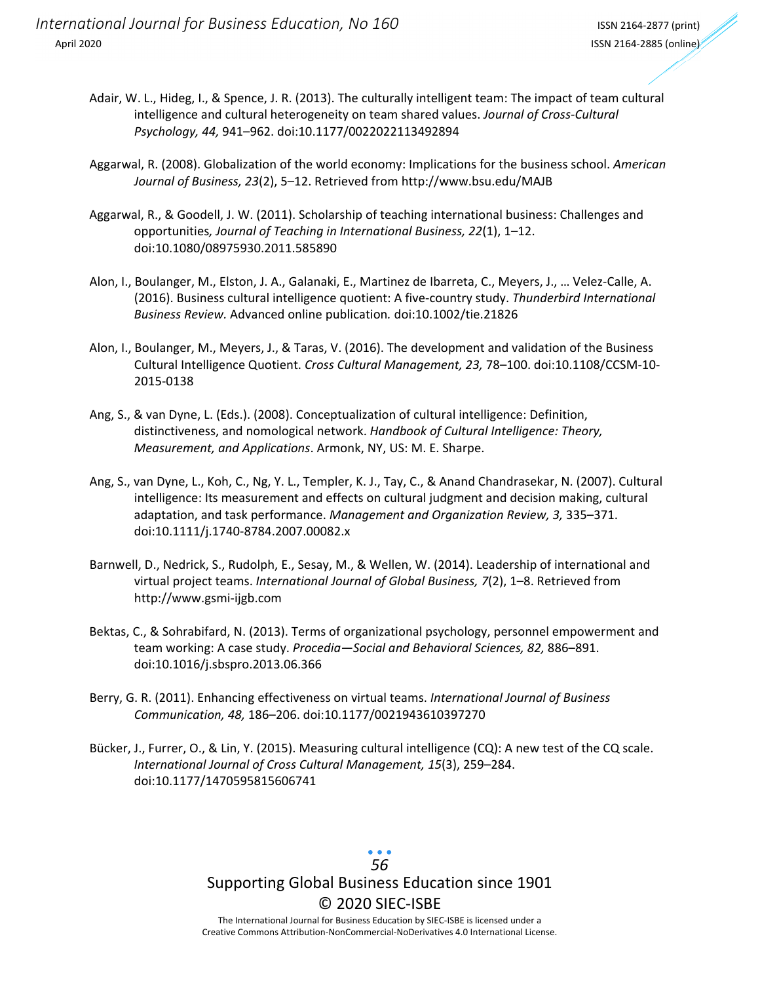- Adair, W. L., Hideg, I., & Spence, J. R. (2013). The culturally intelligent team: The impact of team cultural intelligence and cultural heterogeneity on team shared values. *Journal of Cross‐Cultural Psychology, 44,* 941–962. doi:10.1177/0022022113492894
- Aggarwal, R. (2008). Globalization of the world economy: Implications for the business school. *American Journal of Business, 23*(2), 5–12. Retrieved from http://www.bsu.edu/MAJB
- Aggarwal, R., & Goodell, J. W. (2011). Scholarship of teaching international business: Challenges and opportunities*, Journal of Teaching in International Business, 22*(1), 1–12. doi:10.1080/08975930.2011.585890
- Alon, I., Boulanger, M., Elston, J. A., Galanaki, E., Martinez de Ibarreta, C., Meyers, J., … Velez‐Calle, A. (2016). Business cultural intelligence quotient: A five‐country study. *Thunderbird International Business Review.* Advanced online publication*.* doi:10.1002/tie.21826
- Alon, I., Boulanger, M., Meyers, J., & Taras, V. (2016). The development and validation of the Business Cultural Intelligence Quotient. *Cross Cultural Management, 23,* 78–100. doi:10.1108/CCSM‐10‐ 2015‐0138
- Ang, S., & van Dyne, L. (Eds.). (2008). Conceptualization of cultural intelligence: Definition, distinctiveness, and nomological network. *Handbook of Cultural Intelligence: Theory, Measurement, and Applications*. Armonk, NY, US: M. E. Sharpe.
- Ang, S., van Dyne, L., Koh, C., Ng, Y. L., Templer, K. J., Tay, C., & Anand Chandrasekar, N. (2007). Cultural intelligence: Its measurement and effects on cultural judgment and decision making, cultural adaptation, and task performance. *Management and Organization Review, 3,* 335–371. doi:10.1111/j.1740‐8784.2007.00082.x
- Barnwell, D., Nedrick, S., Rudolph, E., Sesay, M., & Wellen, W. (2014). Leadership of international and virtual project teams. *International Journal of Global Business, 7*(2), 1–8. Retrieved from http://www.gsmi‐ijgb.com
- Bektas, C., & Sohrabifard, N. (2013). Terms of organizational psychology, personnel empowerment and team working: A case study. *Procedia—Social and Behavioral Sciences, 82,* 886–891. doi:10.1016/j.sbspro.2013.06.366
- Berry, G. R. (2011). Enhancing effectiveness on virtual teams. *International Journal of Business Communication, 48,* 186–206. doi:10.1177/0021943610397270
- Bücker, J., Furrer, O., & Lin, Y. (2015). Measuring cultural intelligence (CQ): A new test of the CQ scale. *International Journal of Cross Cultural Management, 15*(3), 259–284. doi:10.1177/1470595815606741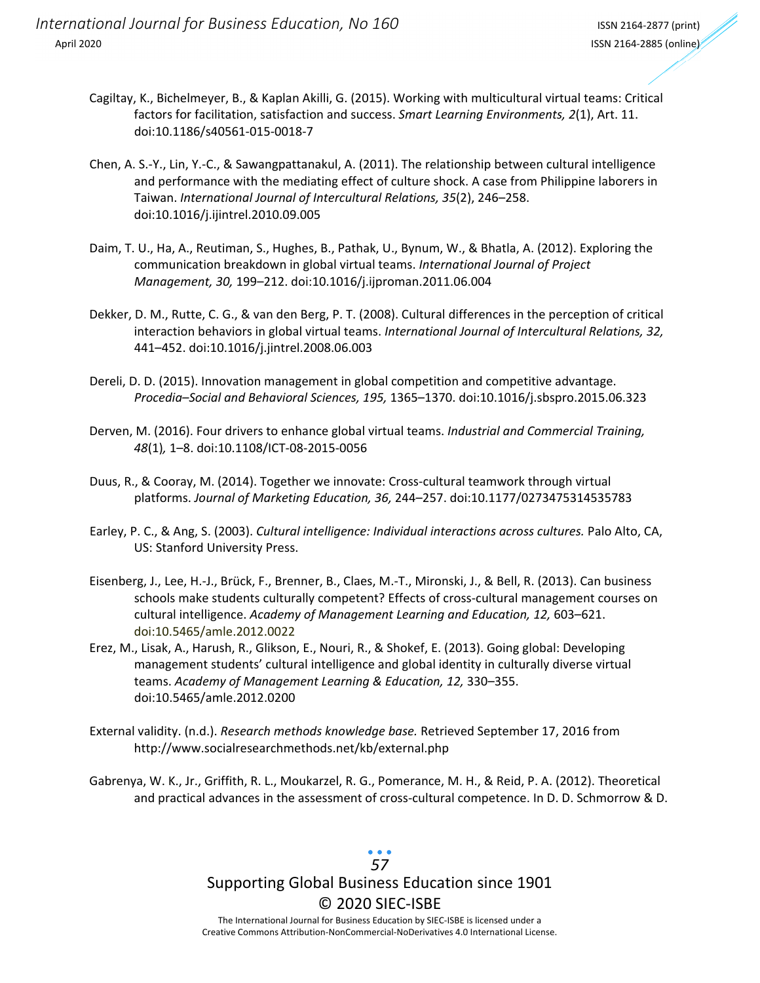- Cagiltay, K., Bichelmeyer, B., & Kaplan Akilli, G. (2015). Working with multicultural virtual teams: Critical factors for facilitation, satisfaction and success. *Smart Learning Environments, 2*(1), Art. 11. doi:10.1186/s40561‐015‐0018‐7
- Chen, A. S.‐Y., Lin, Y.‐C., & Sawangpattanakul, A. (2011). The relationship between cultural intelligence and performance with the mediating effect of culture shock. A case from Philippine laborers in Taiwan. *International Journal of Intercultural Relations, 35*(2), 246–258. doi:10.1016/j.ijintrel.2010.09.005
- Daim, T. U., Ha, A., Reutiman, S., Hughes, B., Pathak, U., Bynum, W., & Bhatla, A. (2012). Exploring the communication breakdown in global virtual teams. *International Journal of Project Management, 30,* 199–212. doi:10.1016/j.ijproman.2011.06.004
- Dekker, D. M., Rutte, C. G., & van den Berg, P. T. (2008). Cultural differences in the perception of critical interaction behaviors in global virtual teams. *International Journal of Intercultural Relations, 32,* 441–452. doi:10.1016/j.jintrel.2008.06.003
- Dereli, D. D. (2015). Innovation management in global competition and competitive advantage. *Procedia–Social and Behavioral Sciences, 195,* 1365–1370. doi:10.1016/j.sbspro.2015.06.323
- Derven, M. (2016). Four drivers to enhance global virtual teams. *Industrial and Commercial Training, 48*(1)*,* 1–8. doi:10.1108/ICT‐08‐2015‐0056
- Duus, R., & Cooray, M. (2014). Together we innovate: Cross-cultural teamwork through virtual platforms. *Journal of Marketing Education, 36,* 244–257. doi:10.1177/0273475314535783
- Earley, P. C., & Ang, S. (2003). *Cultural intelligence: Individual interactions across cultures.* Palo Alto, CA, US: Stanford University Press.
- Eisenberg, J., Lee, H.‐J., Brück, F., Brenner, B., Claes, M.‐T., Mironski, J., & Bell, R. (2013). Can business schools make students culturally competent? Effects of cross-cultural management courses on cultural intelligence. *Academy of Management Learning and Education, 12,* 603–621. doi:10.5465/amle.2012.0022
- Erez, M., Lisak, A., Harush, R., Glikson, E., Nouri, R., & Shokef, E. (2013). Going global: Developing management students' cultural intelligence and global identity in culturally diverse virtual teams. *Academy of Management Learning & Education, 12,* 330–355. doi:10.5465/amle.2012.0200
- External validity. (n.d.). *Research methods knowledge base.* Retrieved September 17, 2016 from http://www.socialresearchmethods.net/kb/external.php
- Gabrenya, W. K., Jr., Griffith, R. L., Moukarzel, R. G., Pomerance, M. H., & Reid, P. A. (2012). Theoretical and practical advances in the assessment of cross‐cultural competence. In D. D. Schmorrow & D.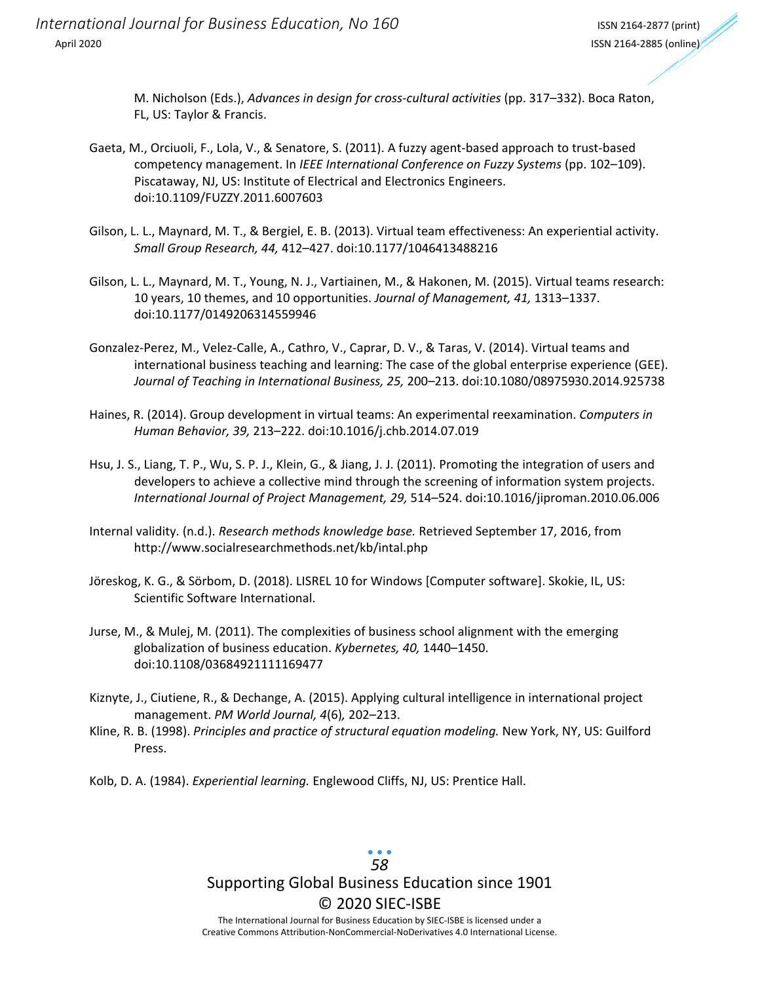*International Journal for Business Education, No 160* ISSN <sup>2164</sup>‐<sup>2877</sup> (print) April 2020 ISSN 2164‐2885 (online)

M. Nicholson (Eds.), *Advances in design for cross‐cultural activities* (pp. 317–332). Boca Raton, FL, US: Taylor & Francis.

- Gaeta, M., Orciuoli, F., Lola, V., & Senatore, S. (2011). A fuzzy agent‐based approach to trust‐based competency management. In *IEEE International Conference on Fuzzy Systems* (pp. 102–109). Piscataway, NJ, US: Institute of Electrical and Electronics Engineers. doi:10.1109/FUZZY.2011.6007603
- Gilson, L. L., Maynard, M. T., & Bergiel, E. B. (2013). Virtual team effectiveness: An experiential activity. *Small Group Research, 44,* 412–427. doi:10.1177/1046413488216
- Gilson, L. L., Maynard, M. T., Young, N. J., Vartiainen, M., & Hakonen, M. (2015). Virtual teams research: 10 years, 10 themes, and 10 opportunities. *Journal of Management, 41,* 1313–1337. doi:10.1177/0149206314559946
- Gonzalez‐Perez, M., Velez‐Calle, A., Cathro, V., Caprar, D. V., & Taras, V. (2014). Virtual teams and international business teaching and learning: The case of the global enterprise experience (GEE). *Journal of Teaching in International Business, 25,* 200–213. doi:10.1080/08975930.2014.925738
- Haines, R. (2014). Group development in virtual teams: An experimental reexamination. *Computers in Human Behavior, 39,* 213–222. doi:10.1016/j.chb.2014.07.019
- Hsu, J. S., Liang, T. P., Wu, S. P. J., Klein, G., & Jiang, J. J. (2011). Promoting the integration of users and developers to achieve a collective mind through the screening of information system projects. *International Journal of Project Management, 29,* 514–524. doi:10.1016/jiproman.2010.06.006
- Internal validity. (n.d.). *Research methods knowledge base.* Retrieved September 17, 2016, from http://www.socialresearchmethods.net/kb/intal.php
- Jöreskog, K. G., & Sörbom, D. (2018). LISREL 10 for Windows [Computer software]. Skokie, IL, US: Scientific Software International.
- Jurse, M., & Mulej, M. (2011). The complexities of business school alignment with the emerging globalization of business education. *Kybernetes, 40,* 1440–1450. doi:10.1108/03684921111169477
- Kiznyte, J., Ciutiene, R., & Dechange, A. (2015). Applying cultural intelligence in international project management. *PM World Journal, 4*(6)*,* 202–213.
- Kline, R. B. (1998). *Principles and practice of structural equation modeling.* New York, NY, US: Guilford Press.
- Kolb, D. A. (1984). *Experiential learning.* Englewood Cliffs, NJ, US: Prentice Hall.

### Supporting Global Business Education since 1901 © 2020 SIEC‐ISBE The International Journal for Business Education by SIEC‐ISBE is licensed under a *58*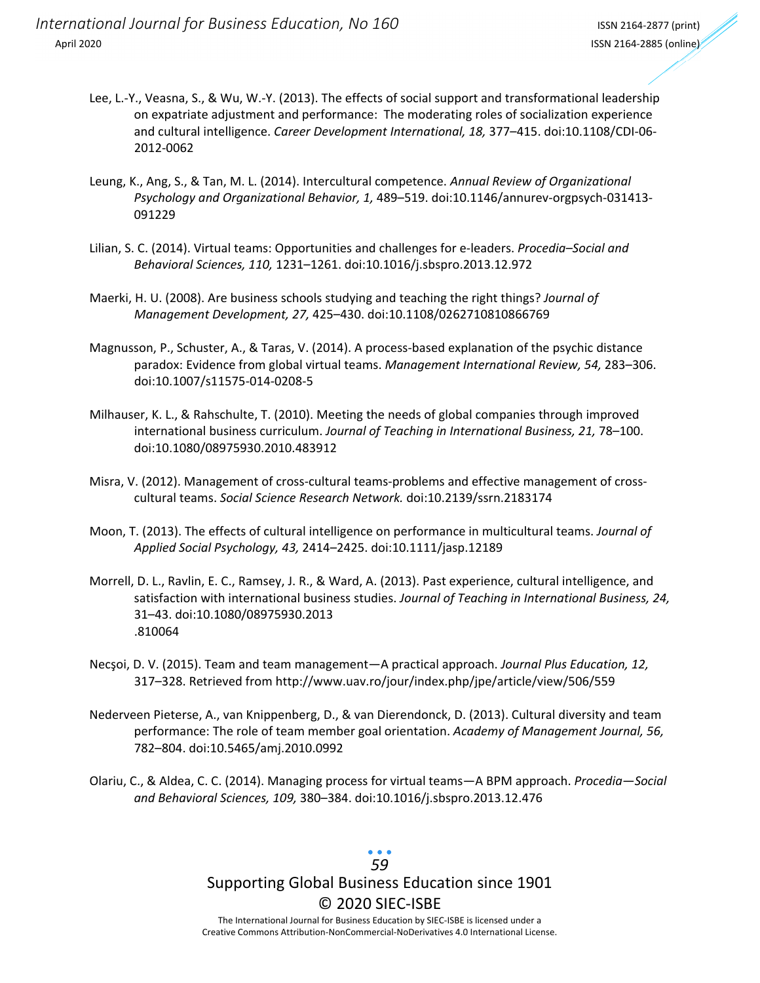- Lee, L.‐Y., Veasna, S., & Wu, W.‐Y. (2013). The effects of social support and transformational leadership on expatriate adjustment and performance: The moderating roles of socialization experience and cultural intelligence. *Career Development International, 18,* 377–415. doi:10.1108/CDI‐06‐ 2012‐0062
- Leung, K., Ang, S., & Tan, M. L. (2014). Intercultural competence. *Annual Review of Organizational Psychology and Organizational Behavior, 1,* 489–519. doi:10.1146/annurev‐orgpsych‐031413‐ 091229
- Lilian, S. C. (2014). Virtual teams: Opportunities and challenges for e‐leaders. *Procedia–Social and Behavioral Sciences, 110,* 1231–1261. doi:10.1016/j.sbspro.2013.12.972
- Maerki, H. U. (2008). Are business schools studying and teaching the right things? *Journal of Management Development, 27,* 425–430. doi:10.1108/0262710810866769
- Magnusson, P., Schuster, A., & Taras, V. (2014). A process-based explanation of the psychic distance paradox: Evidence from global virtual teams. *Management International Review, 54,* 283–306. doi:10.1007/s11575‐014‐0208‐5
- Milhauser, K. L., & Rahschulte, T. (2010). Meeting the needs of global companies through improved international business curriculum. *Journal of Teaching in International Business, 21,* 78–100. doi:10.1080/08975930.2010.483912
- Misra, V. (2012). Management of cross-cultural teams-problems and effective management of crosscultural teams. *Social Science Research Network.* doi:10.2139/ssrn.2183174
- Moon, T. (2013). The effects of cultural intelligence on performance in multicultural teams. *Journal of Applied Social Psychology, 43,* 2414–2425. doi:10.1111/jasp.12189
- Morrell, D. L., Ravlin, E. C., Ramsey, J. R., & Ward, A. (2013). Past experience, cultural intelligence, and satisfaction with international business studies. *Journal of Teaching in International Business, 24,* 31–43. doi:10.1080/08975930.2013 .810064
- Necşoi, D. V. (2015). Team and team management—A practical approach. *Journal Plus Education, 12,* 317–328. Retrieved from http://www.uav.ro/jour/index.php/jpe/article/view/506/559
- Nederveen Pieterse, A., van Knippenberg, D., & van Dierendonck, D. (2013). Cultural diversity and team performance: The role of team member goal orientation. *Academy of Management Journal, 56,* 782–804. doi:10.5465/amj.2010.0992
- Olariu, C., & Aldea, C. C. (2014). Managing process for virtual teams—A BPM approach. *Procedia—Social and Behavioral Sciences, 109,* 380–384. doi:10.1016/j.sbspro.2013.12.476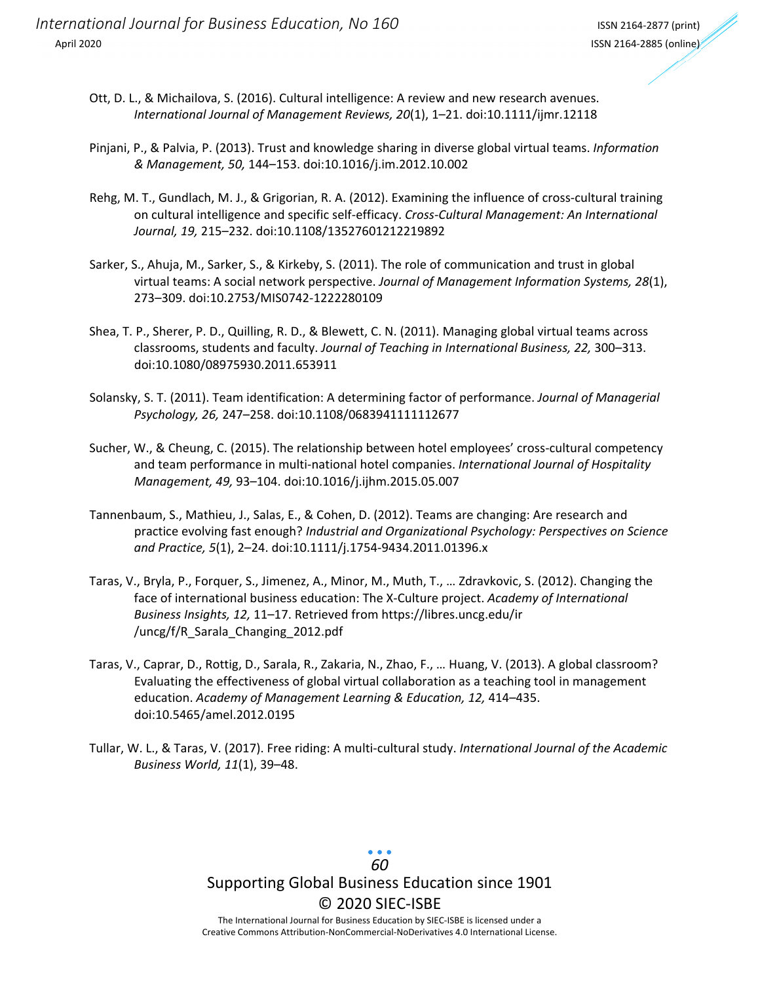- Ott, D. L., & Michailova, S. (2016). Cultural intelligence: A review and new research avenues. *International Journal of Management Reviews, 20*(1), 1–21. doi:10.1111/ijmr.12118
- Pinjani, P., & Palvia, P. (2013). Trust and knowledge sharing in diverse global virtual teams. *Information & Management, 50,* 144–153. doi:10.1016/j.im.2012.10.002
- Rehg, M. T., Gundlach, M. J., & Grigorian, R. A. (2012). Examining the influence of cross-cultural training on cultural intelligence and specific self‐efficacy. *Cross‐Cultural Management: An International Journal, 19,* 215–232. doi:10.1108/13527601212219892
- Sarker, S., Ahuja, M., Sarker, S., & Kirkeby, S. (2011). The role of communication and trust in global virtual teams: A social network perspective. *Journal of Management Information Systems, 28*(1), 273–309. doi:10.2753/MIS0742‐1222280109
- Shea, T. P., Sherer, P. D., Quilling, R. D., & Blewett, C. N. (2011). Managing global virtual teams across classrooms, students and faculty. *Journal of Teaching in International Business, 22,* 300–313. doi:10.1080/08975930.2011.653911
- Solansky, S. T. (2011). Team identification: A determining factor of performance. *Journal of Managerial Psychology, 26,* 247–258. doi:10.1108/0683941111112677
- Sucher, W., & Cheung, C. (2015). The relationship between hotel employees' cross-cultural competency and team performance in multi‐national hotel companies. *International Journal of Hospitality Management, 49,* 93–104. doi:10.1016/j.ijhm.2015.05.007
- Tannenbaum, S., Mathieu, J., Salas, E., & Cohen, D. (2012). Teams are changing: Are research and practice evolving fast enough? *Industrial and Organizational Psychology: Perspectives on Science and Practice, 5*(1), 2–24. doi:10.1111/j.1754‐9434.2011.01396.x
- Taras, V., Bryla, P., Forquer, S., Jimenez, A., Minor, M., Muth, T., … Zdravkovic, S. (2012). Changing the face of international business education: The X‐Culture project. *Academy of International Business Insights, 12,* 11–17. Retrieved from https://libres.uncg.edu/ir /uncg/f/R\_Sarala\_Changing\_2012.pdf
- Taras, V., Caprar, D., Rottig, D., Sarala, R., Zakaria, N., Zhao, F., … Huang, V. (2013). A global classroom? Evaluating the effectiveness of global virtual collaboration as a teaching tool in management education. *Academy of Management Learning & Education, 12,* 414–435. doi:10.5465/amel.2012.0195
- Tullar, W. L., & Taras, V. (2017). Free riding: A multi‐cultural study. *International Journal of the Academic Business World, 11*(1), 39–48.